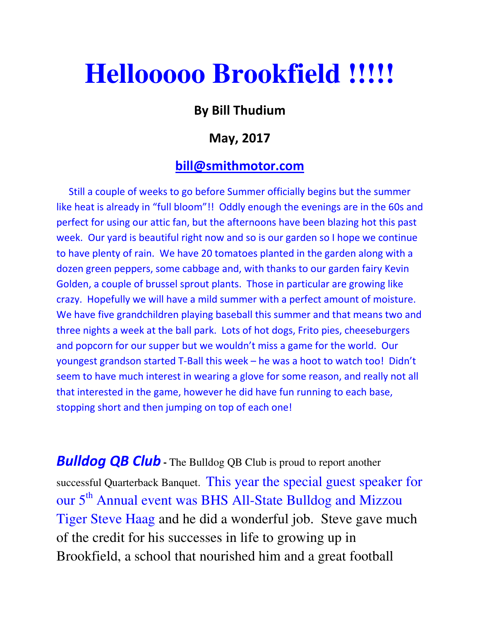## **Hellooooo Brookfield !!!!!**

## By Bill Thudium

## May, 2017

## bill@smithmotor.com

 Still a couple of weeks to go before Summer officially begins but the summer like heat is already in "full bloom"!! Oddly enough the evenings are in the 60s and perfect for using our attic fan, but the afternoons have been blazing hot this past week. Our yard is beautiful right now and so is our garden so I hope we continue to have plenty of rain. We have 20 tomatoes planted in the garden along with a dozen green peppers, some cabbage and, with thanks to our garden fairy Kevin Golden, a couple of brussel sprout plants. Those in particular are growing like crazy. Hopefully we will have a mild summer with a perfect amount of moisture. We have five grandchildren playing baseball this summer and that means two and three nights a week at the ball park. Lots of hot dogs, Frito pies, cheeseburgers and popcorn for our supper but we wouldn't miss a game for the world. Our youngest grandson started T-Ball this week – he was a hoot to watch too! Didn't seem to have much interest in wearing a glove for some reason, and really not all that interested in the game, however he did have fun running to each base, stopping short and then jumping on top of each one!

**Bulldog QB Club** - The Bulldog QB Club is proud to report another successful Quarterback Banquet. This year the special guest speaker for our 5<sup>th</sup> Annual event was BHS All-State Bulldog and Mizzou Tiger Steve Haag and he did a wonderful job. Steve gave much of the credit for his successes in life to growing up in Brookfield, a school that nourished him and a great football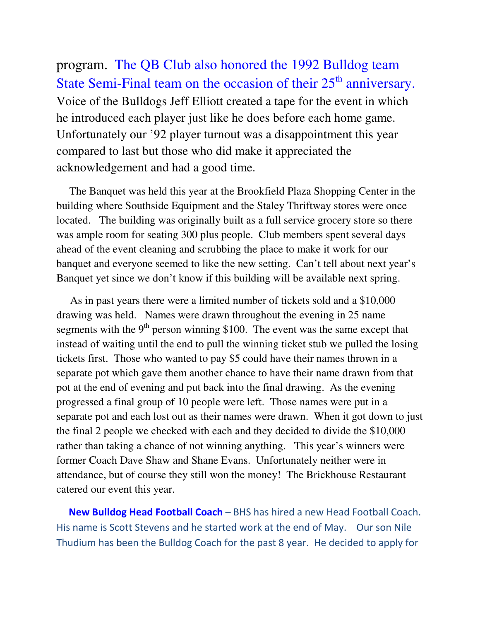program. The QB Club also honored the 1992 Bulldog team State Semi-Final team on the occasion of their  $25<sup>th</sup>$  anniversary. Voice of the Bulldogs Jeff Elliott created a tape for the event in which he introduced each player just like he does before each home game. Unfortunately our '92 player turnout was a disappointment this year compared to last but those who did make it appreciated the acknowledgement and had a good time.

 The Banquet was held this year at the Brookfield Plaza Shopping Center in the building where Southside Equipment and the Staley Thriftway stores were once located. The building was originally built as a full service grocery store so there was ample room for seating 300 plus people. Club members spent several days ahead of the event cleaning and scrubbing the place to make it work for our banquet and everyone seemed to like the new setting. Can't tell about next year's Banquet yet since we don't know if this building will be available next spring.

 As in past years there were a limited number of tickets sold and a \$10,000 drawing was held. Names were drawn throughout the evening in 25 name segments with the  $9<sup>th</sup>$  person winning \$100. The event was the same except that instead of waiting until the end to pull the winning ticket stub we pulled the losing tickets first. Those who wanted to pay \$5 could have their names thrown in a separate pot which gave them another chance to have their name drawn from that pot at the end of evening and put back into the final drawing. As the evening progressed a final group of 10 people were left. Those names were put in a separate pot and each lost out as their names were drawn. When it got down to just the final 2 people we checked with each and they decided to divide the \$10,000 rather than taking a chance of not winning anything. This year's winners were former Coach Dave Shaw and Shane Evans. Unfortunately neither were in attendance, but of course they still won the money! The Brickhouse Restaurant catered our event this year.

New Bulldog Head Football Coach – BHS has hired a new Head Football Coach. His name is Scott Stevens and he started work at the end of May. Our son Nile Thudium has been the Bulldog Coach for the past 8 year. He decided to apply for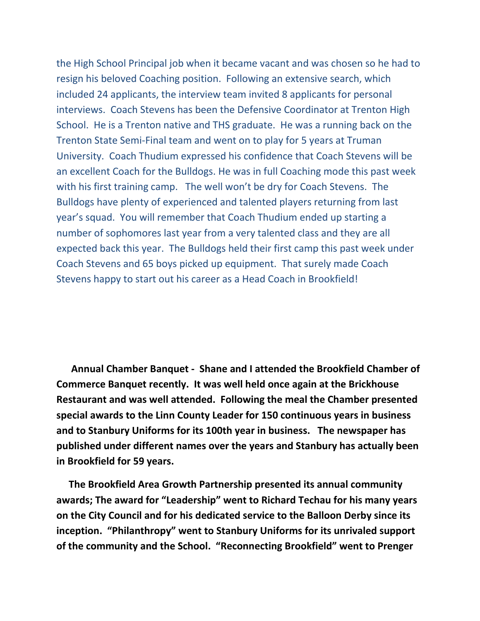the High School Principal job when it became vacant and was chosen so he had to resign his beloved Coaching position. Following an extensive search, which included 24 applicants, the interview team invited 8 applicants for personal interviews. Coach Stevens has been the Defensive Coordinator at Trenton High School. He is a Trenton native and THS graduate. He was a running back on the Trenton State Semi-Final team and went on to play for 5 years at Truman University. Coach Thudium expressed his confidence that Coach Stevens will be an excellent Coach for the Bulldogs. He was in full Coaching mode this past week with his first training camp. The well won't be dry for Coach Stevens. The Bulldogs have plenty of experienced and talented players returning from last year's squad. You will remember that Coach Thudium ended up starting a number of sophomores last year from a very talented class and they are all expected back this year. The Bulldogs held their first camp this past week under Coach Stevens and 65 boys picked up equipment. That surely made Coach Stevens happy to start out his career as a Head Coach in Brookfield!

 Annual Chamber Banquet - Shane and I attended the Brookfield Chamber of Commerce Banquet recently. It was well held once again at the Brickhouse Restaurant and was well attended. Following the meal the Chamber presented special awards to the Linn County Leader for 150 continuous years in business and to Stanbury Uniforms for its 100th year in business. The newspaper has published under different names over the years and Stanbury has actually been in Brookfield for 59 years.

 The Brookfield Area Growth Partnership presented its annual community awards; The award for "Leadership" went to Richard Techau for his many years on the City Council and for his dedicated service to the Balloon Derby since its inception. "Philanthropy" went to Stanbury Uniforms for its unrivaled support of the community and the School. "Reconnecting Brookfield" went to Prenger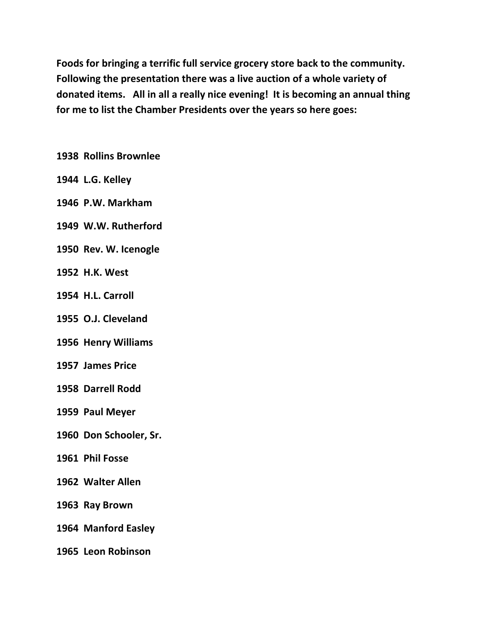Foods for bringing a terrific full service grocery store back to the community. Following the presentation there was a live auction of a whole variety of donated items. All in all a really nice evening! It is becoming an annual thing for me to list the Chamber Presidents over the years so here goes:

1938 Rollins Brownlee

- 1944 L.G. Kelley
- 1946 P.W. Markham
- 1949 W.W. Rutherford
- 1950 Rev. W. Icenogle
- 1952 H.K. West
- 1954 H.L. Carroll
- 1955 O.J. Cleveland
- 1956 Henry Williams
- 1957 James Price
- 1958 Darrell Rodd
- 1959 Paul Meyer
- 1960 Don Schooler, Sr.
- 1961 Phil Fosse
- 1962 Walter Allen
- 1963 Ray Brown
- 1964 Manford Easley
- 1965 Leon Robinson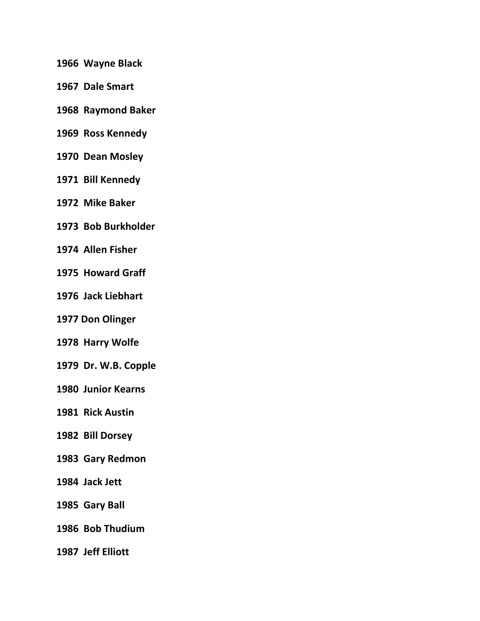- 1966 Wayne Black
- 1967 Dale Smart
- 1968 Raymond Baker
- 1969 Ross Kennedy
- 1970 Dean Mosley
- 1971 Bill Kennedy
- 1972 Mike Baker
- 1973 Bob Burkholder
- 1974 Allen Fisher
- 1975 Howard Graff
- 1976 Jack Liebhart
- 1977 Don Olinger
- 1978 Harry Wolfe
- 1979 Dr. W.B. Copple
- 1980 Junior Kearns
- 1981 Rick Austin
- 1982 Bill Dorsey
- 1983 Gary Redmon
- 1984 Jack Jett
- 1985 Gary Ball
- 1986 Bob Thudium
- 1987 Jeff Elliott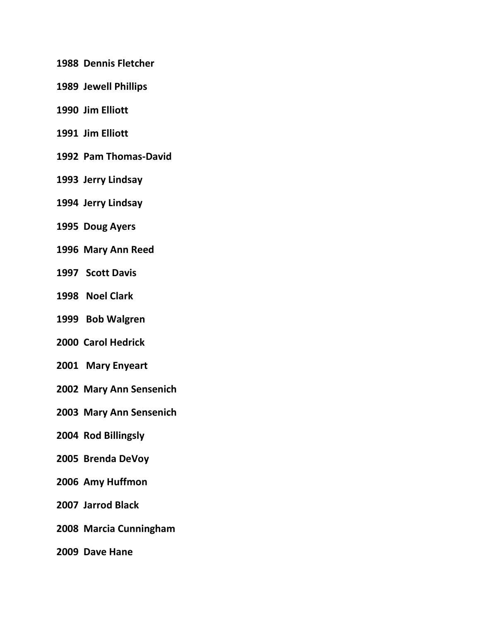- 1988 Dennis Fletcher
- 1989 Jewell Phillips
- 1990 Jim Elliott
- 1991 Jim Elliott
- 1992 Pam Thomas-David
- 1993 Jerry Lindsay
- 1994 Jerry Lindsay
- 1995 Doug Ayers
- 1996 Mary Ann Reed
- 1997 Scott Davis
- 1998 Noel Clark
- 1999 Bob Walgren
- 2000 Carol Hedrick
- 2001 Mary Enyeart
- 2002 Mary Ann Sensenich
- 2003 Mary Ann Sensenich
- 2004 Rod Billingsly
- 2005 Brenda DeVoy
- 2006 Amy Huffmon
- 2007 Jarrod Black
- 2008 Marcia Cunningham
- 2009 Dave Hane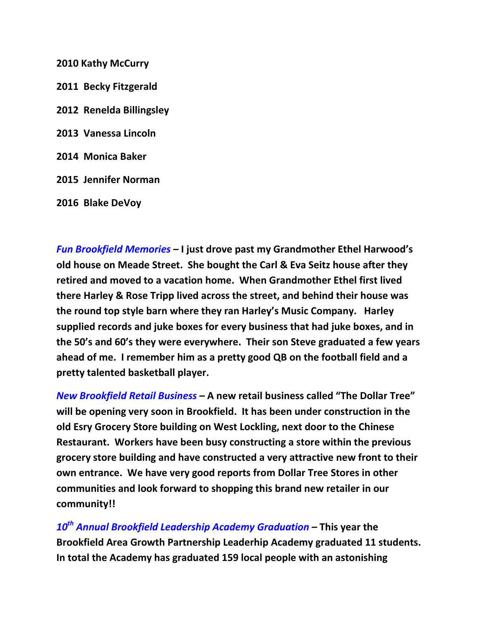2010 Kathy McCurry

2011 Becky Fitzgerald 2012 Renelda Billingsley 2013 Vanessa Lincoln 2014 Monica Baker 2015 Jennifer Norman 2016 Blake DeVoy

Fun Brookfield Memories – I just drove past my Grandmother Ethel Harwood's old house on Meade Street. She bought the Carl & Eva Seitz house after they retired and moved to a vacation home. When Grandmother Ethel first lived there Harley & Rose Tripp lived across the street, and behind their house was the round top style barn where they ran Harley's Music Company. Harley supplied records and juke boxes for every business that had juke boxes, and in the 50's and 60's they were everywhere. Their son Steve graduated a few years ahead of me. I remember him as a pretty good QB on the football field and a pretty talented basketball player.

New Brookfield Retail Business – A new retail business called "The Dollar Tree" will be opening very soon in Brookfield. It has been under construction in the old Esry Grocery Store building on West Lockling, next door to the Chinese Restaurant. Workers have been busy constructing a store within the previous grocery store building and have constructed a very attractive new front to their own entrance. We have very good reports from Dollar Tree Stores in other communities and look forward to shopping this brand new retailer in our community!!

 $10<sup>th</sup>$  Annual Brookfield Leadership Academy Graduation – This year the Brookfield Area Growth Partnership Leaderhip Academy graduated 11 students. In total the Academy has graduated 159 local people with an astonishing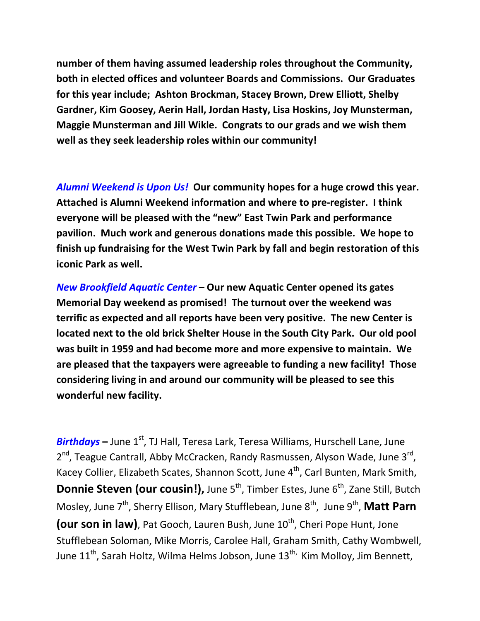number of them having assumed leadership roles throughout the Community, both in elected offices and volunteer Boards and Commissions. Our Graduates for this year include; Ashton Brockman, Stacey Brown, Drew Elliott, Shelby Gardner, Kim Goosey, Aerin Hall, Jordan Hasty, Lisa Hoskins, Joy Munsterman, Maggie Munsterman and Jill Wikle. Congrats to our grads and we wish them well as they seek leadership roles within our community!

Alumni Weekend is Upon Us! Our community hopes for a huge crowd this year. Attached is Alumni Weekend information and where to pre-register. I think everyone will be pleased with the "new" East Twin Park and performance pavilion. Much work and generous donations made this possible. We hope to finish up fundraising for the West Twin Park by fall and begin restoration of this iconic Park as well.

New Brookfield Aquatic Center – Our new Aquatic Center opened its gates Memorial Day weekend as promised! The turnout over the weekend was terrific as expected and all reports have been very positive. The new Center is located next to the old brick Shelter House in the South City Park. Our old pool was built in 1959 and had become more and more expensive to maintain. We are pleased that the taxpayers were agreeable to funding a new facility! Those considering living in and around our community will be pleased to see this wonderful new facility.

**Birthdays** – June  $1^{st}$ , TJ Hall, Teresa Lark, Teresa Williams, Hurschell Lane, June 2<sup>nd</sup>, Teague Cantrall, Abby McCracken, Randy Rasmussen, Alyson Wade, June 3<sup>rd</sup>, Kacey Collier, Elizabeth Scates, Shannon Scott, June  $4<sup>th</sup>$ , Carl Bunten, Mark Smith, **Donnie Steven (our cousin!),** June 5<sup>th</sup>, Timber Estes, June 6<sup>th</sup>, Zane Still, Butch Mosley, June 7<sup>th</sup>, Sherry Ellison, Mary Stufflebean, June 8<sup>th</sup>, June 9<sup>th</sup>, Matt Parn (our son in law), Pat Gooch, Lauren Bush, June 10<sup>th</sup>, Cheri Pope Hunt, Jone Stufflebean Soloman, Mike Morris, Carolee Hall, Graham Smith, Cathy Wombwell, June  $11^{th}$ , Sarah Holtz, Wilma Helms Jobson, June  $13^{th}$ , Kim Molloy, Jim Bennett,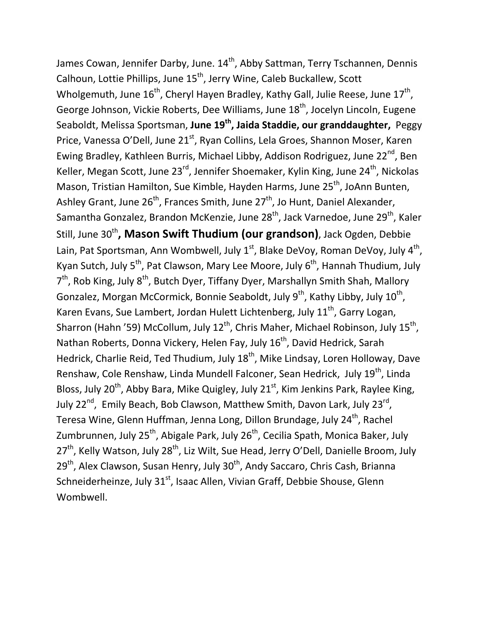James Cowan, Jennifer Darby, June. 14<sup>th</sup>, Abby Sattman, Terry Tschannen, Dennis Calhoun, Lottie Phillips, June 15<sup>th</sup>, Jerry Wine, Caleb Buckallew, Scott Wholgemuth, June 16<sup>th</sup>, Cheryl Hayen Bradley, Kathy Gall, Julie Reese, June 17<sup>th</sup>, George Johnson, Vickie Roberts, Dee Williams, June 18<sup>th</sup>, Jocelyn Lincoln, Eugene Seaboldt, Melissa Sportsman, June 19<sup>th</sup>, Jaida Staddie, our granddaughter, Peggy Price, Vanessa O'Dell, June 21<sup>st</sup>, Ryan Collins, Lela Groes, Shannon Moser, Karen Ewing Bradley, Kathleen Burris, Michael Libby, Addison Rodriguez, June 22<sup>nd</sup>, Ben Keller, Megan Scott, June  $23^{rd}$ , Jennifer Shoemaker, Kylin King, June  $24^{th}$ , Nickolas Mason, Tristian Hamilton, Sue Kimble, Hayden Harms, June 25<sup>th</sup>, JoAnn Bunten, Ashley Grant, June 26<sup>th</sup>, Frances Smith, June 27<sup>th</sup>, Jo Hunt, Daniel Alexander, Samantha Gonzalez, Brandon McKenzie, June 28<sup>th</sup>, Jack Varnedoe, June 29<sup>th</sup>, Kaler Still, June 30<sup>th</sup>, Mason Swift Thudium (our grandson), Jack Ogden, Debbie Lain, Pat Sportsman, Ann Wombwell, July 1<sup>st</sup>, Blake DeVoy, Roman DeVoy, July 4<sup>th</sup>, Kyan Sutch, July 5<sup>th</sup>, Pat Clawson, Mary Lee Moore, July  $6<sup>th</sup>$ , Hannah Thudium, July 7<sup>th</sup>, Rob King, July 8<sup>th</sup>, Butch Dyer, Tiffany Dyer, Marshallyn Smith Shah, Mallory Gonzalez, Morgan McCormick, Bonnie Seaboldt, July 9<sup>th</sup>, Kathy Libby, July 10<sup>th</sup>, Karen Evans, Sue Lambert, Jordan Hulett Lichtenberg, July  $11<sup>th</sup>$ , Garry Logan, Sharron (Hahn '59) McCollum, July 12<sup>th</sup>, Chris Maher, Michael Robinson, July 15<sup>th</sup>, Nathan Roberts, Donna Vickery, Helen Fay, July 16<sup>th</sup>, David Hedrick, Sarah Hedrick, Charlie Reid, Ted Thudium, July 18<sup>th</sup>, Mike Lindsay, Loren Holloway, Dave Renshaw, Cole Renshaw, Linda Mundell Falconer, Sean Hedrick, July 19<sup>th</sup>, Linda Bloss, July 20<sup>th</sup>, Abby Bara, Mike Quigley, July 21<sup>st</sup>, Kim Jenkins Park, Raylee King, July 22<sup>nd</sup>, Emily Beach, Bob Clawson, Matthew Smith, Davon Lark, July 23<sup>rd</sup>, Teresa Wine, Glenn Huffman, Jenna Long, Dillon Brundage, July 24<sup>th</sup>, Rachel Zumbrunnen, July  $25^{th}$ , Abigale Park, July  $26^{th}$ , Cecilia Spath, Monica Baker, July 27<sup>th</sup>, Kelly Watson, July 28<sup>th</sup>, Liz Wilt, Sue Head, Jerry O'Dell, Danielle Broom, July  $29<sup>th</sup>$ , Alex Clawson, Susan Henry, July  $30<sup>th</sup>$ , Andy Saccaro, Chris Cash, Brianna Schneiderheinze, July 31<sup>st</sup>, Isaac Allen, Vivian Graff, Debbie Shouse, Glenn Wombwell.